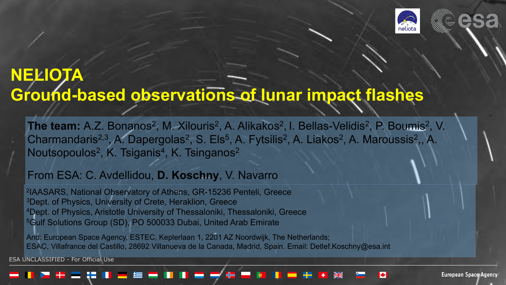

٠



## **NELIOTA Ground-based observations of lunar impact flashes**

**The team:** A.Z. Bonanos<sup>2</sup>, M. Xilouris<sup>2</sup>, A. Alikakos<sup>2</sup>, I. Bellas-Velidis<sup>2</sup>, P. Boumis<sup>2</sup>, V. Charmandaris<sup>2,3</sup>, A. Dapergolas<sup>2</sup>, S. Els<sup>5</sup>, A. Fytsilis<sup>2</sup>, A. Liakos<sup>2</sup>, A. Maroussis<sup>2</sup>,, A. Noutsopoulos<sup>2</sup>, K. Tsiganis<sup>4</sup>, K. Tsinganos<sup>2</sup>

## From ESA: C. Avdellidou, **D. Koschny**, V. Navarro

2IAASARS, National Observatory of Athens, GR-15236 Penteli, Greece 3Dept. of Physics, University of Crete, Heraklion, Greece 4Dept. of Physics, Aristotle University of Thessaloniki, Thessaloniki, Greece 5Gulf Solutions Group (SD), PO 500033 Dubai, United Arab Emirate

And: European Space Agency, ESTEC, Keplerlaan 1, 2201 AZ Noordwijk, The Netherlands; ESAC, Villafrance del Castillo, 28692 Villanueva de la Canada, Madrid, Spain. Email: Detlef.Koschny@esa.int

ESA UNCLASSIFIED - For Official Use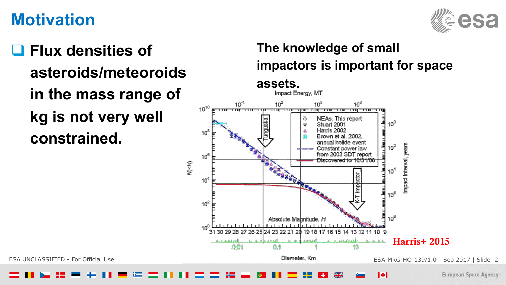## **Motivation**



**Q** Flux densities of **asteroids/meteoroids in the mass range of kg is not very well constrained.** 

## **The knowledge of small impactors is important for space**

ы

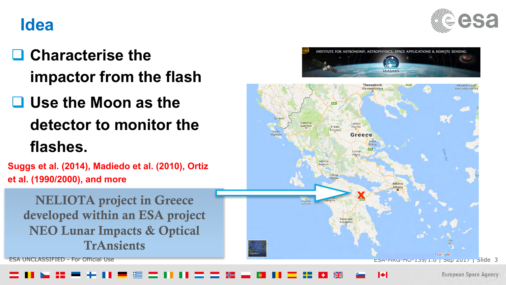

## **Idea**

## **□ Characterise the impactor from the flash**

**Q Use the Moon as the detector to monitor the flashes.** 

**Suggs et al. (2014), Madiedo et al. (2010), Ortiz et al. (1990/2000), and more** 

NELIOTA project in Greece developed within an ESA project NEO Lunar Impacts & Optical **TrAnsients** 



м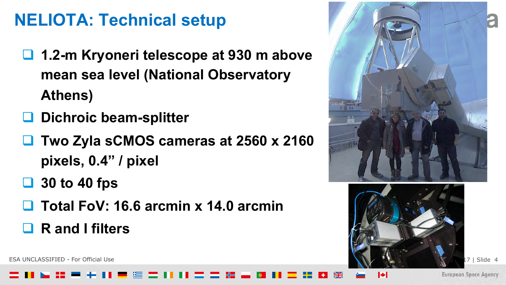## **NELIOTA: Technical setup**

- **□ 1.2-m Kryoneri telescope at 930 m above mean sea level (National Observatory Athens)**
- q **Dichroic beam-splitter**
- q **Two Zyla sCMOS cameras at 2560 x 2160 pixels, 0.4" / pixel**
- 30 to 40 fps
- q **Total FoV: 16.6 arcmin x 14.0 arcmin**
- **□ R and I filters**





ы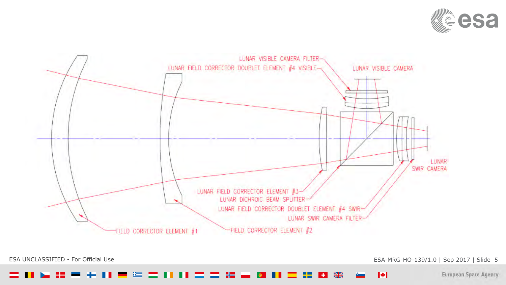



ESA UNCLASSIFIED - For Official Use ESA-MRG-HO-139/1.0 | Sep 2017 | Slide 5

 $\blacktriangleright$ 

## - 92. 海星山 计二重编码 H.  $\frac{N}{2}$ HH. . .  $\bullet$  $+$ −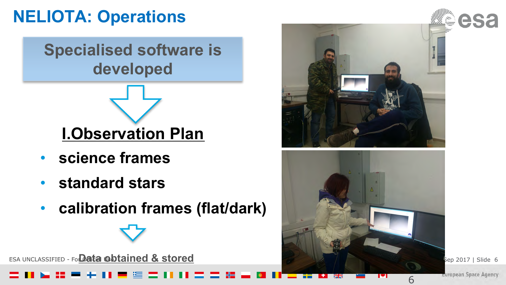## **NELIOTA: Operations**

## **Specialised software is developed**

## **I.Observation Plan**

- **science frames**
- **standard stars**
- **calibration frames (flat/dark)**







**esa** 

6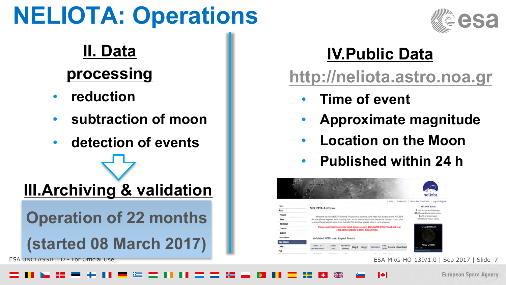## **NELIOTA: Operations**

# **processing**

- **reduction**
- **subtraction of moon**
- **detection of events**

**III.Archiving & validation** 

**Operation of 22 months** 

**(started 08 March 2017)** 



## **II. Data II. Data IV.Public Data**

## **http://neliota.astro.noa.gr**

- **Time of event**
- **Approximate magnitude**
- **Location on the Moon**
- **Published within 24 h**

ы



ESA UNCLASSIFIED - For Official Use Esa-MRG-HO-139/1.0 | Sep 2017 | Slide 7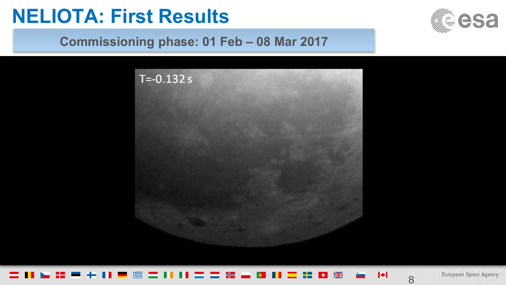## **NELIOTA: First Results**



## **Commissioning phase: 01 Feb – 08 Mar 2017**



## $\frac{N}{2}$ ≔



M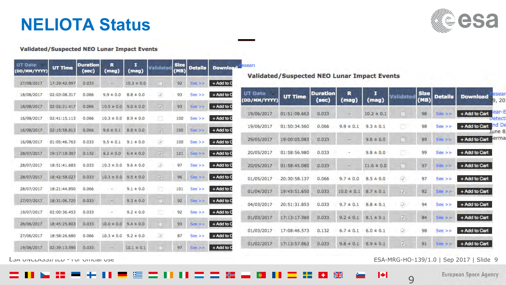## **NELIOTA Status**



## Validated/Suspected NEO Lunar Impact Events

| <b>UT Date</b><br>(DD/MM/YYYYY) | <b>UT Time</b> | <b>Duration</b><br>(sec) | R<br>(mag)     | x.<br>(mag)    | Validated                | <b>Size</b><br>(MB) | <b>Details</b>    | Download <b>Researc</b> |                |
|---------------------------------|----------------|--------------------------|----------------|----------------|--------------------------|---------------------|-------------------|-------------------------|----------------|
| 27/08/2017                      | 17:29:42.997   | 0.033                    |                | $10.3 \pm 0.0$ | H.                       | 92                  | $See \rightarrow$ | + Add to C              | Va             |
| 18/08/2017                      | 02:03:08.317   | 0.066                    | $9.9 \pm 0.0$  | $8.8 \pm 0.0$  | $\mathcal{A}$            | 93                  | $See >$           | + Add to C              | UT D<br>(DD/K) |
| 18/08/2017                      | 02:02:21.417   | 0.066                    | $10.5 \pm 0.0$ | $9.0 \pm 0.0$  | $\overline{\mathcal{A}}$ | 93                  | $See >$           | + Add to C              |                |
| 16/08/2017                      | 02:41:15.113   | 0.066                    | $10.3 \pm 0.0$ | $8.9 \pm 0.0$  | n                        | 100                 | $See >$           | + Add to C              | 19/            |
| 16/08/2017                      | 02:15:58.813   | 0.066                    | $9.6 \pm 0.1$  | $8.8 \pm 0.0$  | $\sqrt{2}$               | 100                 | $See >$           | + Add to C              | 19/            |
| 16/08/2017                      | 01:05:46.763   | 0.033                    | $9.5 \pm 0.1$  | $9.1 \pm 0.0$  | $\mathcal{J}$            | 100                 | $See >$           | + Add to C              | 29/6           |
| 28/07/2017                      | 19:17:18.307   | 0.132                    | $8.2 \pm 0.0$  | $6.4 \pm 0.0$  | $ \mathcal{I} $          | 121                 | See $\gg$         | + Add to C              | 20/            |
| 28/07/2017                      | 18:51:41.683   | 0.033                    | $10.3 \pm 0.0$ | $9.6 \pm 0.0$  | $\mathcal{J}$            | 97                  | $See >$           | + Add to C              | 20/6           |
| 28/07/2017                      | 18:42:58.027   | 0.033                    | $10.3 \pm 0.0$ | $9.5 \pm 0.0$  | $\vert \sqrt{2} \vert$   | 96                  | See $\gg$         | + Add to C              | 01/0           |
| 28/07/2017                      | 18:21:44.850   | 0.066                    | n et           | $9.1 \pm 0.0$  | in,                      | 101                 | $See >$           | + Add to C              | 01/0           |
| 27/07/2017                      | 18:31:06.720   | 0.033                    |                | $9.3 \pm 0.0$  | n                        | 92                  | See $\gg$         | + Add to C              | 04/0           |
| 19/07/2017                      | 02:00:36.453   | 0.033                    | $\sim$         | $9.2 \pm 0.0$  |                          | 92                  | See $>>$          | + Add to C              |                |
| 28/06/2017                      | 18:45:25.803   | 0.033                    | $10.0 \pm 0.0$ | $9.4 \pm 0.0$  | m                        | 93                  | $See \geq$        | + Add to C              | 01/0           |
| 27/06/2017                      | 18:58:26.680   | 0.066                    | $10.3 \pm 0.0$ | $9.2 \pm 0.0$  | $\overline{\mathcal{A}}$ | 87                  | See $>>$          | + Add to C              | 01/0           |
| 19/06/2017                      | 02:39:13.590   | 0.033                    |                | $10.1 \pm 0.1$ |                          | 97                  | $See >$           | + Add to C              | 01/0           |

## Validated/Suspected NEO Lunar Impact Events

黑

| UT Date<br>(DD/MM/YYYYY) | <b>UT Time</b> | <b>Duration</b><br>(sec) | R<br>(mag)     | I<br>(mag)     | Validated                | <b>Size</b><br>(MB) | <b>Details</b>    | esear<br><b>Download</b><br>9, 20        |
|--------------------------|----------------|--------------------------|----------------|----------------|--------------------------|---------------------|-------------------|------------------------------------------|
| 19/06/2017               | 01:51:08.663   | 0.033                    |                | $10.2 \pm 0.1$ |                          | 98                  | $See >$           | lear-E<br>+ Add to Cart<br><b>Detect</b> |
| 19/06/2017               | 01:50:34.560   | 0.066                    | $9.9 \pm 0.1$  | $9.3 \pm 0.1$  | o                        | 98                  | $See >$           | nd De<br>+ Add to Cart<br>June 8         |
| 29/05/2017               | 19:00:05.083   | 0.033                    |                | $9.6 \pm 0.0$  |                          | 89                  | $See \rightarrow$ | ierma<br>+ Add to Cart                   |
| 20/05/2017               | 01:58:56.980   | 0.033                    |                | $9.8 \pm 0.0$  | o                        | 99                  | $See >$           | + Add to Cart                            |
| 20/05/2017               | 01:58:45.080   | 0.033                    |                | $11.6 \pm 0.0$ |                          | 97                  | $See \rightarrow$ | + Add to Cart                            |
| 01/05/2017               | 20:30:58.137   | 0.066                    | $9.7 \pm 0.0$  | $8.5 \pm 0.0$  | Ø                        | 97                  | $See >$           | + Add to Cart                            |
| 01/04/2017               | 19:45:51.650   | 0.033                    | $10.0 \pm 0.1$ | $8.7 \pm 0.1$  | $\overline{\sqrt{2}}$    | 92                  | See >>            | + Add to Cart                            |
| 04/03/2017               | 20:51:31.853   | 0.033                    | $9.7 \pm 0.1$  | $8.8 \pm 0.1$  | Q)                       | 94                  | $See >$           | + Add to Cart                            |
| 01/03/2017               | 17:13:17.360   | 0.033                    | $9.2 \pm 0.1$  | $8.1 \pm 0.1$  | $\overline{\mathcal{L}}$ | 84                  | $See >$           | + Add to Cart                            |
| 01/03/2017               | 17:08:46.573   | 0.132                    | $6.7 \pm 0.1$  | $6.0 \pm 0.1$  | Q)                       | 98                  | $See >$           | + Add to Cart                            |
| 01/02/2017               | 17:13:57.863   | 0.033                    | $9.8 \pm 0.1$  | $8.9 \pm 0.1$  | $\overline{\vee}$        | 91                  | $See >$           | + Add to Cart                            |

ESA UNCLASSIFIED - For Official Use ESA-MRG-HO-139/1.0 | Sep 2017 | Slide 9

9

 $\blacktriangleright$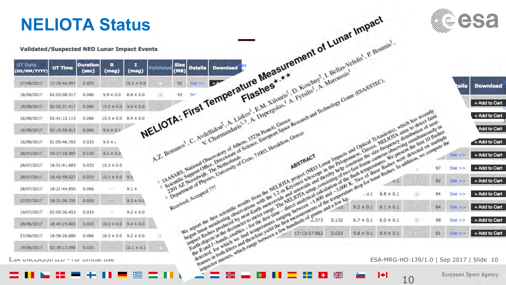## **NELIOTA Status**

|                                 | <b>Validated/Suspected NEO Lunar Impact Events</b> |                   |                |                |  |                        |  |                                                                                                                                                                                                                                                                                                                                                                                                                                                                                                                                                                                                                                                                                                                                                                                                                                                                                                                                                                                                                                                                                                                                                                                                                                                                                                                                                                                                                                                                                                                                                                                                                                           |  |  |  |            |
|---------------------------------|----------------------------------------------------|-------------------|----------------|----------------|--|------------------------|--|-------------------------------------------------------------------------------------------------------------------------------------------------------------------------------------------------------------------------------------------------------------------------------------------------------------------------------------------------------------------------------------------------------------------------------------------------------------------------------------------------------------------------------------------------------------------------------------------------------------------------------------------------------------------------------------------------------------------------------------------------------------------------------------------------------------------------------------------------------------------------------------------------------------------------------------------------------------------------------------------------------------------------------------------------------------------------------------------------------------------------------------------------------------------------------------------------------------------------------------------------------------------------------------------------------------------------------------------------------------------------------------------------------------------------------------------------------------------------------------------------------------------------------------------------------------------------------------------------------------------------------------------|--|--|--|------------|
| <b>UT Date</b><br>(DD/MM/YYYYY) | <b>UT Time</b>                                     | Duration<br>(sec) | R<br>(mag)     |                |  |                        |  | NELIOTA: First Temperature Measurement of Lunar Impact<br>A.Z. Bonanos! . C. Aydellulon?, A. Lights, A. Dapreslant . D. Koschoz . I. Bellas Velidis! . P. Boumis!                                                                                                                                                                                                                                                                                                                                                                                                                                                                                                                                                                                                                                                                                                                                                                                                                                                                                                                                                                                                                                                                                                                                                                                                                                                                                                                                                                                                                                                                         |  |  |  |            |
| 27/08/2017                      | 17:29:42.997                                       | 0.033             |                | $10.3 \pm 0.0$ |  |                        |  | 1 AA-SARS, National Office Distribution of Alterna, 15246 Remetlic Gregory Research and Technology Comre (ESA/ESTEC).                                                                                                                                                                                                                                                                                                                                                                                                                                                                                                                                                                                                                                                                                                                                                                                                                                                                                                                                                                                                                                                                                                                                                                                                                                                                                                                                                                                                                                                                                                                     |  |  |  | ails       |
| 18/08/2017                      | 02:03:08.317                                       | 0.066             | $9.9 \pm 0.0$  | $8.8 \pm 0.0$  |  |                        |  |                                                                                                                                                                                                                                                                                                                                                                                                                                                                                                                                                                                                                                                                                                                                                                                                                                                                                                                                                                                                                                                                                                                                                                                                                                                                                                                                                                                                                                                                                                                                                                                                                                           |  |  |  |            |
| 18/08/2017                      | 02:02:21.417                                       | 0.066             | $10.5 \pm 0.0$ | $9.0 \pm 0.0$  |  |                        |  |                                                                                                                                                                                                                                                                                                                                                                                                                                                                                                                                                                                                                                                                                                                                                                                                                                                                                                                                                                                                                                                                                                                                                                                                                                                                                                                                                                                                                                                                                                                                                                                                                                           |  |  |  |            |
| 16/08/2017                      | 02:41:15.113                                       | 0.066             | $10.3 \pm 0.0$ | $8.9 \pm 0.0$  |  |                        |  | 1 IAASARS, National Observatory of Athens, 15236 Penteli, Greece Res.                                                                                                                                                                                                                                                                                                                                                                                                                                                                                                                                                                                                                                                                                                                                                                                                                                                                                                                                                                                                                                                                                                                                                                                                                                                                                                                                                                                                                                                                                                                                                                     |  |  |  |            |
| 16/08/2017                      | 02:15:58.813                                       | 0.066             | $9.6 \pm 0.1$  |                |  |                        |  |                                                                                                                                                                                                                                                                                                                                                                                                                                                                                                                                                                                                                                                                                                                                                                                                                                                                                                                                                                                                                                                                                                                                                                                                                                                                                                                                                                                                                                                                                                                                                                                                                                           |  |  |  |            |
| 16/08/2017                      | 01:05:46.763                                       | 0.033             | $9.5 \pm L$    |                |  |                        |  |                                                                                                                                                                                                                                                                                                                                                                                                                                                                                                                                                                                                                                                                                                                                                                                                                                                                                                                                                                                                                                                                                                                                                                                                                                                                                                                                                                                                                                                                                                                                                                                                                                           |  |  |  |            |
| 28/07/2017                      | 19:17:18.307                                       | 0.132             | $8.2 \pm 0.0$  |                |  |                        |  |                                                                                                                                                                                                                                                                                                                                                                                                                                                                                                                                                                                                                                                                                                                                                                                                                                                                                                                                                                                                                                                                                                                                                                                                                                                                                                                                                                                                                                                                                                                                                                                                                                           |  |  |  | $See \geq$ |
| 28/07/2017                      | 18:51:41.683                                       | 0.033             | $10.3 \pm 0.0$ |                |  |                        |  |                                                                                                                                                                                                                                                                                                                                                                                                                                                                                                                                                                                                                                                                                                                                                                                                                                                                                                                                                                                                                                                                                                                                                                                                                                                                                                                                                                                                                                                                                                                                                                                                                                           |  |  |  |            |
| 28/07/2017                      | 18:42:58.027                                       | 0.033             | $10.3 \pm 0.0$ | 9.5            |  |                        |  |                                                                                                                                                                                                                                                                                                                                                                                                                                                                                                                                                                                                                                                                                                                                                                                                                                                                                                                                                                                                                                                                                                                                                                                                                                                                                                                                                                                                                                                                                                                                                                                                                                           |  |  |  | See >      |
| 28/07/2017                      | 18:21:44.850                                       | 0.066             |                | $9.1 \pm$      |  |                        |  |                                                                                                                                                                                                                                                                                                                                                                                                                                                                                                                                                                                                                                                                                                                                                                                                                                                                                                                                                                                                                                                                                                                                                                                                                                                                                                                                                                                                                                                                                                                                                                                                                                           |  |  |  |            |
| 27/07/2017                      | 18:31:06.720                                       | 0.033             |                | $9.3 \pm 0.0$  |  | Received: Accepted ??? |  | 2201 AZ Noondwijk: The Netherlands Crete: 71003, Heraktion, Greece                                                                                                                                                                                                                                                                                                                                                                                                                                                                                                                                                                                                                                                                                                                                                                                                                                                                                                                                                                                                                                                                                                                                                                                                                                                                                                                                                                                                                                                                                                                                                                        |  |  |  |            |
| 19/07/2017                      | 02:00:36.453                                       | 0.033             |                | $9.2 \pm 0.0$  |  |                        |  |                                                                                                                                                                                                                                                                                                                                                                                                                                                                                                                                                                                                                                                                                                                                                                                                                                                                                                                                                                                                                                                                                                                                                                                                                                                                                                                                                                                                                                                                                                                                                                                                                                           |  |  |  |            |
| 28/06/2017                      | 18:45:25.803                                       | 0.033             | $10.0 \pm 0.0$ | $9.4 \pm 0.0$  |  |                        |  |                                                                                                                                                                                                                                                                                                                                                                                                                                                                                                                                                                                                                                                                                                                                                                                                                                                                                                                                                                                                                                                                                                                                                                                                                                                                                                                                                                                                                                                                                                                                                                                                                                           |  |  |  |            |
| 27/06/2017                      | 18:58:26.680                                       | 0.066             | $10.3 \pm 0.0$ | $9.2 \pm 0.0$  |  |                        |  | Nic metal the first accounting the most product and the NCLADE A project be seen the project and Optical To changing the Minister by a straight of a straight of the control of the straight of the straight of the straight o<br>The report the distribution of the result from the NTJ ATA Physics (HEC) Lumber in Protection and Control in the state of the Atach Control in the Control in the Control in the Control in the Control in the Control in the<br>For the principal and the security of the first principal and the security of the security of the security of the security and the security of the security of the security of the security of the security of the security of<br>The distribution of the property of the computation of the property of the computation of the property of the computation of the computation of the computation of the computation of the computation of the computation of th<br>Alternative of the whole the control of the protection of the protection of the protection of the protection of the protection of the protection of the protection of the protection of the protection of the protection of th<br>Former of the parties and therefore you'd the first measurements in the constraints of the parties and the first and the first and the constraints of the constraints of the first and the constraints of the constraints of t<br>the mother is with the sum and therefore yield the first manufactured when the disc and a few these disconsists in the disconnection of the construction of the construction of the construction of the construction of the co |  |  |  | See >      |
| 19/06/2017                      | 02:39:13.590                                       | 0.033             |                | $10.1 \pm 0.1$ |  |                        |  |                                                                                                                                                                                                                                                                                                                                                                                                                                                                                                                                                                                                                                                                                                                                                                                                                                                                                                                                                                                                                                                                                                                                                                                                                                                                                                                                                                                                                                                                                                                                                                                                                                           |  |  |  |            |

╬═

European Space Agency

10

 $\blacktriangleright$ 

**H** %

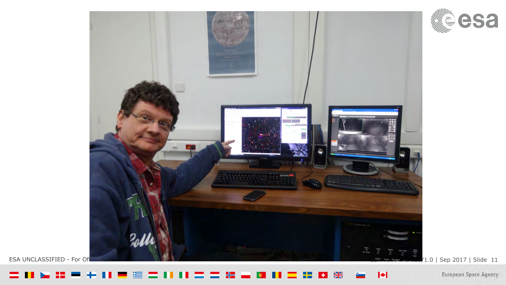## 连军 . . . . . .  $=$   $\approx$ **ET XX**  $+11 \bullet$ -32 **THE**



 $\blacktriangleright$ 

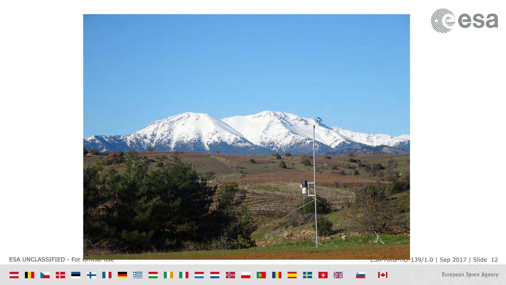